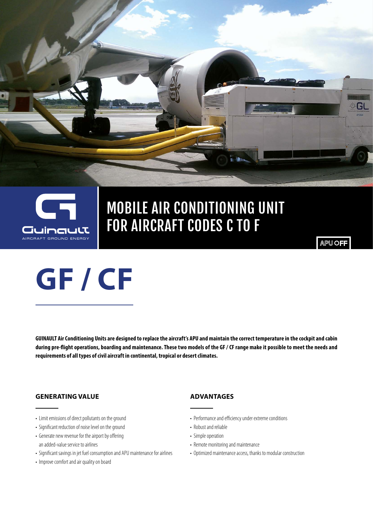

2

## MOBILE AIR CONDITIONING UNIT FOR AIRCRAFT CODES C TO F

**APU OFF** 

G

**GUINAULT Air Conditioning Units are designed to replace the aircraft's APU and maintain the correct temperature in the cockpit and cabin during pre-flight operations, boarding and maintenance. These two models of the GF / CF range make it possible to meet the needs and requirements of all types of civil aircraft in continental, tropical or desert climates.**

#### **GENERATING VALUE**

• Limit emissions of direct pollutants on the ground

**GF / CF** 

- Significant reduction of noise level on the ground
- Generate new revenue for the airport by offering an added-value service to airlines
- Significant savings in jet fuel consumption and APU maintenance for airlines
- Improve comfort and air quality on board

#### **ADVANTAGES**

- Performance and efficiency under extreme conditions
- Robust and reliable
- Simple operation
- Remote monitoring and maintenance
- Optimized maintenance access, thanks to modular construction